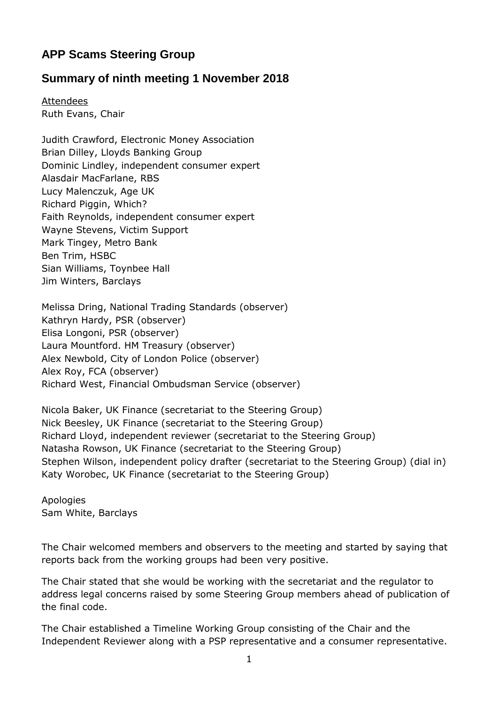# **APP Scams Steering Group**

# **Summary of ninth meeting 1 November 2018**

**Attendees** Ruth Evans, Chair

Judith Crawford, Electronic Money Association Brian Dilley, Lloyds Banking Group Dominic Lindley, independent consumer expert Alasdair MacFarlane, RBS Lucy Malenczuk, Age UK Richard Piggin, Which? Faith Reynolds, independent consumer expert Wayne Stevens, Victim Support Mark Tingey, Metro Bank Ben Trim, HSBC Sian Williams, Toynbee Hall Jim Winters, Barclays

Melissa Dring, National Trading Standards (observer) Kathryn Hardy, PSR (observer) Elisa Longoni, PSR (observer) Laura Mountford. HM Treasury (observer) Alex Newbold, City of London Police (observer) Alex Roy, FCA (observer) Richard West, Financial Ombudsman Service (observer)

Nicola Baker, UK Finance (secretariat to the Steering Group) Nick Beesley, UK Finance (secretariat to the Steering Group) Richard Lloyd, independent reviewer (secretariat to the Steering Group) Natasha Rowson, UK Finance (secretariat to the Steering Group) Stephen Wilson, independent policy drafter (secretariat to the Steering Group) (dial in) Katy Worobec, UK Finance (secretariat to the Steering Group)

Apologies Sam White, Barclays

The Chair welcomed members and observers to the meeting and started by saying that reports back from the working groups had been very positive.

The Chair stated that she would be working with the secretariat and the regulator to address legal concerns raised by some Steering Group members ahead of publication of the final code.

The Chair established a Timeline Working Group consisting of the Chair and the Independent Reviewer along with a PSP representative and a consumer representative.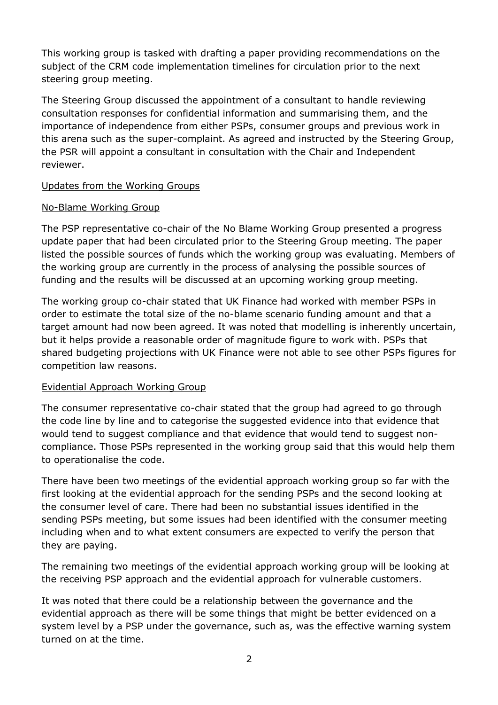This working group is tasked with drafting a paper providing recommendations on the subject of the CRM code implementation timelines for circulation prior to the next steering group meeting.

The Steering Group discussed the appointment of a consultant to handle reviewing consultation responses for confidential information and summarising them, and the importance of independence from either PSPs, consumer groups and previous work in this arena such as the super-complaint. As agreed and instructed by the Steering Group, the PSR will appoint a consultant in consultation with the Chair and Independent reviewer.

# Updates from the Working Groups

#### No-Blame Working Group

The PSP representative co-chair of the No Blame Working Group presented a progress update paper that had been circulated prior to the Steering Group meeting. The paper listed the possible sources of funds which the working group was evaluating. Members of the working group are currently in the process of analysing the possible sources of funding and the results will be discussed at an upcoming working group meeting.

The working group co-chair stated that UK Finance had worked with member PSPs in order to estimate the total size of the no-blame scenario funding amount and that a target amount had now been agreed. It was noted that modelling is inherently uncertain, but it helps provide a reasonable order of magnitude figure to work with. PSPs that shared budgeting projections with UK Finance were not able to see other PSPs figures for competition law reasons.

# Evidential Approach Working Group

The consumer representative co-chair stated that the group had agreed to go through the code line by line and to categorise the suggested evidence into that evidence that would tend to suggest compliance and that evidence that would tend to suggest noncompliance. Those PSPs represented in the working group said that this would help them to operationalise the code.

There have been two meetings of the evidential approach working group so far with the first looking at the evidential approach for the sending PSPs and the second looking at the consumer level of care. There had been no substantial issues identified in the sending PSPs meeting, but some issues had been identified with the consumer meeting including when and to what extent consumers are expected to verify the person that they are paying.

The remaining two meetings of the evidential approach working group will be looking at the receiving PSP approach and the evidential approach for vulnerable customers.

It was noted that there could be a relationship between the governance and the evidential approach as there will be some things that might be better evidenced on a system level by a PSP under the governance, such as, was the effective warning system turned on at the time.